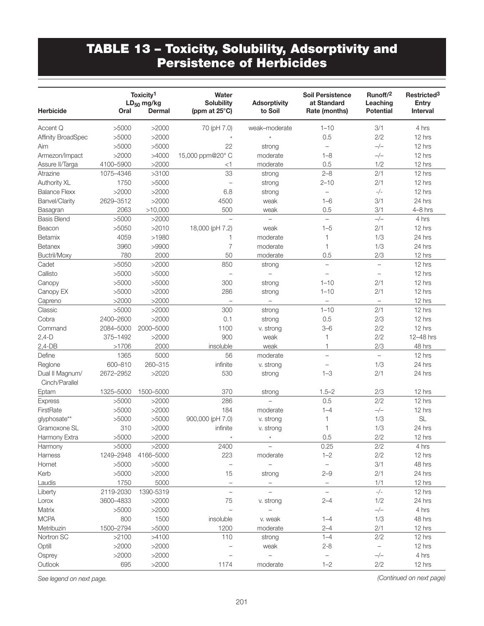## TABLE 13 – Toxicity, Solubility, Adsorptivity and Persistence of Herbicides

| <b>Herbicide</b>                  | Oral      | Toxicity <sup>1</sup><br>$LD_{50}$ mg/kg<br>Dermal | Water<br><b>Solubility</b><br>(ppm at $25^{\circ}$ C) | <b>Adsorptivity</b><br>to Soil | <b>Soil Persistence</b><br>at Standard<br>Rate (months) | Runoff/2<br>Leaching<br><b>Potential</b> | Restricted <sup>3</sup><br><b>Entry</b><br><b>Interval</b> |
|-----------------------------------|-----------|----------------------------------------------------|-------------------------------------------------------|--------------------------------|---------------------------------------------------------|------------------------------------------|------------------------------------------------------------|
| Accent Q                          | >5000     | >2000                                              | 70 (pH 7.0)                                           | weak-moderate                  | $1 - 10$                                                | 3/1                                      | 4 hrs                                                      |
| <b>Affinity BroadSpec</b>         | >5000     | >2000                                              |                                                       |                                | 0.5                                                     | 2/2                                      | 12 hrs                                                     |
| Aim                               | >5000     | >5000                                              | 22                                                    | strong                         | $\overline{\phantom{m}}$                                | $-/-$                                    | 12 hrs                                                     |
| Armezon/Impact                    | >2000     | >4000                                              | 15,000 ppm@20° C                                      | moderate                       | $1 - 8$                                                 | $-/-$                                    | 12 hrs                                                     |
| Assure II/Targa                   | 4100-5900 | >2000                                              | $<$ 1                                                 | moderate                       | 0.5                                                     | 1/2                                      | 12 hrs                                                     |
| Atrazine                          | 1075-4346 | >3100                                              | 33                                                    | strong                         | $2 - 8$                                                 | 2/1                                      | 12 hrs                                                     |
| Authority XL                      | 1750      | >5000                                              | $\overline{\phantom{0}}$                              | strong                         | $2 - 10$                                                | 2/1                                      | 12 hrs                                                     |
| <b>Balance Flexx</b>              | >2000     | >2000                                              | 6.8                                                   | strong                         | $\qquad \qquad -$                                       | $-/-$                                    | 12 hrs                                                     |
| Banvel/Clarity                    | 2629-3512 | >2000                                              | 4500                                                  | weak                           | $1 - 6$                                                 | 3/1                                      | 24 hrs                                                     |
| Basagran                          | 2063      | >10,000                                            | 500                                                   | weak                           | 0.5                                                     | 3/1                                      | 4-8 hrs                                                    |
| <b>Basis Blend</b>                | >5000     | >2000                                              | $\equiv$                                              |                                | $\equiv$                                                | $-/-$                                    | 4 hrs                                                      |
| Beacon                            | >5050     | >2010                                              | 18,000 (pH 7.2)                                       | weak                           | $1 - 5$                                                 | 2/1                                      | 12 hrs                                                     |
| Betamix                           | 4059      | >1980                                              | 1                                                     | moderate                       | 1                                                       | 1/3                                      | 24 hrs                                                     |
| <b>Betanex</b>                    | 3960      | >9900                                              | 7                                                     | moderate                       | 1                                                       | 1/3                                      | 24 hrs                                                     |
| Buctril/Moxy                      | 780       | 2000                                               | 50                                                    | moderate                       | 0.5                                                     | 2/3                                      | 12 hrs                                                     |
| Cadet                             | >5050     | >2000                                              | 850                                                   | strong                         | $\overline{\phantom{0}}$                                | $\equiv$                                 | 12 hrs                                                     |
| Callisto                          | >5000     | >5000                                              |                                                       | $\overline{\phantom{0}}$       | $\overline{\phantom{0}}$                                | $\overline{\phantom{0}}$                 | 12 hrs                                                     |
| Canopy                            | >5000     | >5000                                              | 300                                                   | strong                         | $1 - 10$                                                | 2/1                                      | 12 hrs                                                     |
| Canopy EX                         | >5000     | >2000                                              | 286                                                   | strong                         | $1 - 10$                                                | 2/1                                      | 12 hrs                                                     |
| Capreno                           | >2000     | >2000                                              | $\equiv$                                              | $\equiv$                       | $\overline{\phantom{a}}$                                | $\overline{\phantom{a}}$                 | 12 hrs                                                     |
| Classic                           | >5000     | >2000                                              | 300                                                   | strong                         | $1 - 10$                                                | 2/1                                      | 12 hrs                                                     |
| Cobra                             | 2400-2600 | >2000                                              | 0.1                                                   | strong                         | 0.5                                                     | 2/3                                      | 12 hrs                                                     |
| Command                           | 2084-5000 | 2000-5000                                          | 1100                                                  | v. strong                      | $3 - 6$                                                 | 2/2                                      | 12 hrs                                                     |
| $2,4-D$                           | 375-1492  | >2000                                              | 900                                                   | weak                           | 1                                                       | 2/2                                      | 12-48 hrs                                                  |
| $2,4-DB$                          | >1706     | 2000                                               | insoluble                                             | weak                           | 1                                                       | 2/3                                      | 48 hrs                                                     |
| Define                            | 1365      | 5000                                               | 56                                                    | moderate                       | $\overline{\phantom{0}}$                                | $\overline{\phantom{0}}$                 | 12 hrs                                                     |
| Reglone                           | 600-810   | 260-315                                            | infinite                                              | v. strong                      |                                                         | 1/3                                      | 24 hrs                                                     |
| Dual II Magnum/<br>Cinch/Parallel | 2672-2952 | >2020                                              | 530                                                   | strong                         | $1 - 3$                                                 | 2/1                                      | 24 hrs                                                     |
| Eptam                             | 1325-5000 | 1500-5000                                          | 370                                                   | strong                         | $1.5 - 2$                                               | 2/3                                      | 12 hrs                                                     |
| <b>Express</b>                    | >5000     | >2000                                              | 286                                                   | $\overline{\phantom{0}}$       | 0.5                                                     | 2/2                                      | 12 hrs                                                     |
| FirstRate                         | >5000     | >2000                                              | 184                                                   | moderate                       | $1 - 4$                                                 | $-/-$                                    | 12 hrs                                                     |
| glyphosate**                      | >5000     | >5000                                              | 900,000 (pH 7.0)                                      | v. strong                      | 1                                                       | 1/3                                      | <b>SL</b>                                                  |
| Gramoxone SL                      | 310       | >2000                                              | infinite                                              | v. strong                      | 1                                                       | 1/3                                      | 24 hrs                                                     |
| Harmony Extra                     | >5000     | >2000                                              |                                                       | $^\star$                       | 0.5                                                     | 2/2                                      | 12 hrs                                                     |
| Harmony                           | >5000     | >2000                                              | 2400                                                  |                                | 0.25                                                    | 2/2                                      | 4 hrs                                                      |
| Harness                           | 1249-2948 | 4166-5000                                          | 223                                                   | moderate                       | $1 - 2$                                                 | 2/2                                      | 12 hrs                                                     |
| Hornet                            | >5000     | >5000                                              | $\overline{\phantom{0}}$                              | $\overline{\phantom{0}}$       | $\overline{\phantom{a}}$                                | 3/1                                      | 48 hrs                                                     |
| Kerb                              | >5000     | >2000                                              | 15                                                    | strong                         | $2 - 9$                                                 | 2/1                                      | 24 hrs                                                     |
| Laudis                            | 1750      | 5000                                               | $\overline{\phantom{0}}$                              | $\overline{\phantom{a}}$       | $\qquad \qquad -$                                       | 1/1                                      | 12 hrs                                                     |
| Liberty                           | 2119-2030 | 1390-5319                                          | $\overline{\phantom{0}}$                              | $\equiv$                       | $\equiv$                                                | $_-/-$                                   | 12 hrs                                                     |
| Lorox                             | 3600-4833 | >2000                                              | 75                                                    | v. strong                      | $2 - 4$                                                 | 1/2                                      | 24 hrs                                                     |
| Matrix                            | >5000     | >2000                                              | $\overline{\phantom{0}}$                              | $\overline{a}$                 |                                                         | $-/-$                                    | 4 hrs                                                      |
| <b>MCPA</b>                       | 800       | 1500                                               | insoluble                                             | v. weak                        | $1 - 4$                                                 | 1/3                                      | 48 hrs                                                     |
| Metribuzin                        | 1500-2794 | >5000                                              | 1200                                                  | moderate                       | $2 - 4$                                                 | 2/1                                      | 12 hrs                                                     |
| Nortron SC                        | >2100     | >4100                                              | 110                                                   | strong                         | $1 - 4$                                                 | 2/2                                      | 12 hrs                                                     |
| Optill                            | >2000     | >2000                                              |                                                       | weak                           | $2 - 8$                                                 | $\overline{\phantom{a}}$                 | 12 hrs                                                     |
| Osprey                            | >2000     | >2000                                              |                                                       |                                | $\overline{\phantom{0}}$                                | $-/-$                                    | 4 hrs                                                      |
| Outlook                           | 695       | >2000                                              | 1174                                                  | moderate                       | $1 - 2$                                                 | 2/2                                      | 12 hrs                                                     |

*See legend on next page. (Continued on next page)*